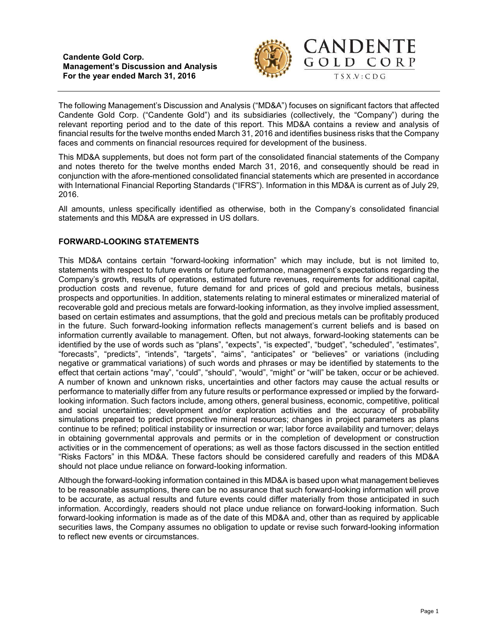**Candente Gold Corp. Management's Discussion and Analysis For the year ended March 31, 2016**



The following Management's Discussion and Analysis ("MD&A") focuses on significant factors that affected Candente Gold Corp. ("Candente Gold") and its subsidiaries (collectively, the "Company") during the relevant reporting period and to the date of this report. This MD&A contains a review and analysis of financial results for the twelve months ended March 31, 2016 and identifies business risks that the Company faces and comments on financial resources required for development of the business.

This MD&A supplements, but does not form part of the consolidated financial statements of the Company and notes thereto for the twelve months ended March 31, 2016, and consequently should be read in conjunction with the afore-mentioned consolidated financial statements which are presented in accordance with International Financial Reporting Standards ("IFRS"). Information in this MD&A is current as of July 29, 2016.

All amounts, unless specifically identified as otherwise, both in the Company's consolidated financial statements and this MD&A are expressed in US dollars.

## **FORWARD-LOOKING STATEMENTS**

This MD&A contains certain "forward-looking information" which may include, but is not limited to, statements with respect to future events or future performance, management's expectations regarding the Company's growth, results of operations, estimated future revenues, requirements for additional capital, production costs and revenue, future demand for and prices of gold and precious metals, business prospects and opportunities. In addition, statements relating to mineral estimates or mineralized material of recoverable gold and precious metals are forward-looking information, as they involve implied assessment, based on certain estimates and assumptions, that the gold and precious metals can be profitably produced in the future. Such forward-looking information reflects management's current beliefs and is based on information currently available to management. Often, but not always, forward-looking statements can be identified by the use of words such as "plans", "expects", "is expected", "budget", "scheduled", "estimates", "forecasts", "predicts", "intends", "targets", "aims", "anticipates" or "believes" or variations (including negative or grammatical variations) of such words and phrases or may be identified by statements to the effect that certain actions "may", "could", "should", "would", "might" or "will" be taken, occur or be achieved. A number of known and unknown risks, uncertainties and other factors may cause the actual results or performance to materially differ from any future results or performance expressed or implied by the forwardlooking information. Such factors include, among others, general business, economic, competitive, political and social uncertainties; development and/or exploration activities and the accuracy of probability simulations prepared to predict prospective mineral resources; changes in project parameters as plans continue to be refined; political instability or insurrection or war; labor force availability and turnover; delays in obtaining governmental approvals and permits or in the completion of development or construction activities or in the commencement of operations; as well as those factors discussed in the section entitled "Risks Factors" in this MD&A. These factors should be considered carefully and readers of this MD&A should not place undue reliance on forward-looking information.

Although the forward-looking information contained in this MD&A is based upon what management believes to be reasonable assumptions, there can be no assurance that such forward-looking information will prove to be accurate, as actual results and future events could differ materially from those anticipated in such information. Accordingly, readers should not place undue reliance on forward-looking information. Such forward-looking information is made as of the date of this MD&A and, other than as required by applicable securities laws, the Company assumes no obligation to update or revise such forward-looking information to reflect new events or circumstances.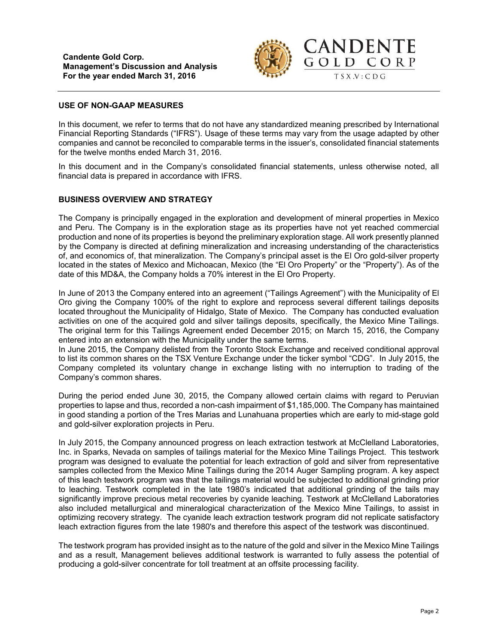

## **USE OF NON-GAAP MEASURES**

In this document, we refer to terms that do not have any standardized meaning prescribed by International Financial Reporting Standards ("IFRS"). Usage of these terms may vary from the usage adapted by other companies and cannot be reconciled to comparable terms in the issuer's, consolidated financial statements for the twelve months ended March 31, 2016.

In this document and in the Company's consolidated financial statements, unless otherwise noted, all financial data is prepared in accordance with IFRS.

## **BUSINESS OVERVIEW AND STRATEGY**

The Company is principally engaged in the exploration and development of mineral properties in Mexico and Peru. The Company is in the exploration stage as its properties have not yet reached commercial production and none of its properties is beyond the preliminary exploration stage. All work presently planned by the Company is directed at defining mineralization and increasing understanding of the characteristics of, and economics of, that mineralization. The Company's principal asset is the El Oro gold-silver property located in the states of Mexico and Michoacan, Mexico (the "El Oro Property" or the "Property"). As of the date of this MD&A, the Company holds a 70% interest in the El Oro Property.

In June of 2013 the Company entered into an agreement ("Tailings Agreement") with the Municipality of El Oro giving the Company 100% of the right to explore and reprocess several different tailings deposits located throughout the Municipality of Hidalgo, State of Mexico. The Company has conducted evaluation activities on one of the acquired gold and silver tailings deposits, specifically, the Mexico Mine Tailings. The original term for this Tailings Agreement ended December 2015; on March 15, 2016, the Company entered into an extension with the Municipality under the same terms.

In June 2015, the Company delisted from the Toronto Stock Exchange and received conditional approval to list its common shares on the TSX Venture Exchange under the ticker symbol "CDG". In July 2015, the Company completed its voluntary change in exchange listing with no interruption to trading of the Company's common shares.

During the period ended June 30, 2015, the Company allowed certain claims with regard to Peruvian properties to lapse and thus, recorded a non-cash impairment of \$1,185,000. The Company has maintained in good standing a portion of the Tres Marias and Lunahuana properties which are early to mid-stage gold and gold-silver exploration projects in Peru.

In July 2015, the Company announced progress on leach extraction testwork at McClelland Laboratories, Inc. in Sparks, Nevada on samples of tailings material for the Mexico Mine Tailings Project. This testwork program was designed to evaluate the potential for leach extraction of gold and silver from representative samples collected from the Mexico Mine Tailings during the 2014 Auger Sampling program. A key aspect of this leach testwork program was that the tailings material would be subjected to additional grinding prior to leaching. Testwork completed in the late 1980's indicated that additional grinding of the tails may significantly improve precious metal recoveries by cyanide leaching. Testwork at McClelland Laboratories also included metallurgical and mineralogical characterization of the Mexico Mine Tailings, to assist in optimizing recovery strategy. The cyanide leach extraction testwork program did not replicate satisfactory leach extraction figures from the late 1980's and therefore this aspect of the testwork was discontinued.

The testwork program has provided insight as to the nature of the gold and silver in the Mexico Mine Tailings and as a result, Management believes additional testwork is warranted to fully assess the potential of producing a gold-silver concentrate for toll treatment at an offsite processing facility.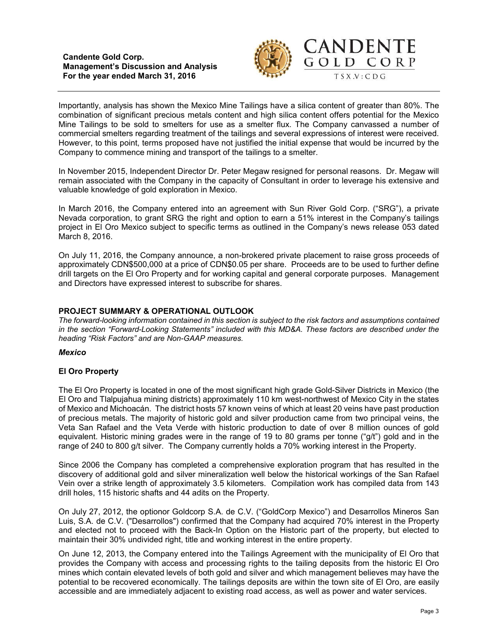

Importantly, analysis has shown the Mexico Mine Tailings have a silica content of greater than 80%. The combination of significant precious metals content and high silica content offers potential for the Mexico Mine Tailings to be sold to smelters for use as a smelter flux. The Company canvassed a number of commercial smelters regarding treatment of the tailings and several expressions of interest were received. However, to this point, terms proposed have not justified the initial expense that would be incurred by the Company to commence mining and transport of the tailings to a smelter.

In November 2015, Independent Director Dr. Peter Megaw resigned for personal reasons. Dr. Megaw will remain associated with the Company in the capacity of Consultant in order to leverage his extensive and valuable knowledge of gold exploration in Mexico.

In March 2016, the Company entered into an agreement with Sun River Gold Corp. ("SRG"), a private Nevada corporation, to grant SRG the right and option to earn a 51% interest in the Company's tailings project in El Oro Mexico subject to specific terms as outlined in the Company's news release 053 dated March 8, 2016.

On July 11, 2016, the Company announce, a non-brokered private placement to raise gross proceeds of approximately CDN\$500,000 at a price of CDN\$0.05 per share. Proceeds are to be used to further define drill targets on the El Oro Property and for working capital and general corporate purposes. Management and Directors have expressed interest to subscribe for shares.

# **PROJECT SUMMARY & OPERATIONAL OUTLOOK**

*The forward-looking information contained in this section is subject to the risk factors and assumptions contained in the section "Forward-Looking Statements" included with this MD&A. These factors are described under the heading "Risk Factors" and are Non-GAAP measures.*

### *Mexico*

# **El Oro Property**

The El Oro Property is located in one of the most significant high grade Gold-Silver Districts in Mexico (the El Oro and Tlalpujahua mining districts) approximately 110 km west-northwest of Mexico City in the states of Mexico and Michoacán. The district hosts 57 known veins of which at least 20 veins have past production of precious metals. The majority of historic gold and silver production came from two principal veins, the Veta San Rafael and the Veta Verde with historic production to date of over 8 million ounces of gold equivalent. Historic mining grades were in the range of 19 to 80 grams per tonne ("g/t") gold and in the range of 240 to 800 g/t silver. The Company currently holds a 70% working interest in the Property.

Since 2006 the Company has completed a comprehensive exploration program that has resulted in the discovery of additional gold and silver mineralization well below the historical workings of the San Rafael Vein over a strike length of approximately 3.5 kilometers. Compilation work has compiled data from 143 drill holes, 115 historic shafts and 44 adits on the Property.

On July 27, 2012, the optionor Goldcorp S.A. de C.V. ("GoldCorp Mexico") and Desarrollos Mineros San Luis, S.A. de C.V. ("Desarrollos") confirmed that the Company had acquired 70% interest in the Property and elected not to proceed with the Back-In Option on the Historic part of the property, but elected to maintain their 30% undivided right, title and working interest in the entire property.

On June 12, 2013, the Company entered into the Tailings Agreement with the municipality of El Oro that provides the Company with access and processing rights to the tailing deposits from the historic El Oro mines which contain elevated levels of both gold and silver and which management believes may have the potential to be recovered economically. The tailings deposits are within the town site of El Oro, are easily accessible and are immediately adjacent to existing road access, as well as power and water services.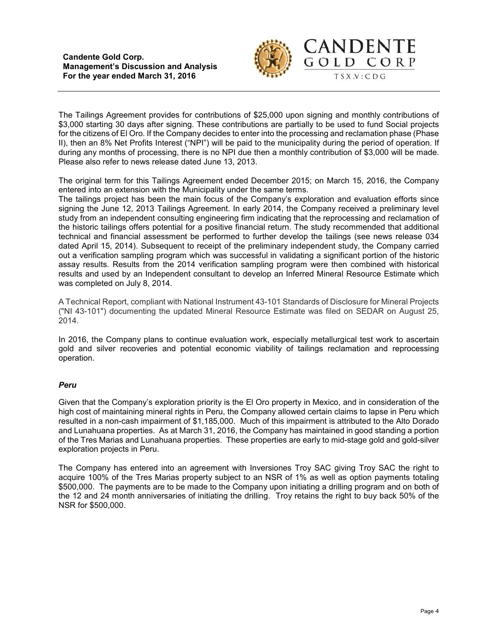

CORP

The Tailings Agreement provides for contributions of \$25,000 upon signing and monthly contributions of \$3,000 starting 30 days after signing. These contributions are partially to be used to fund Social projects for the citizens of El Oro. If the Company decides to enter into the processing and reclamation phase (Phase II), then an 8% Net Profits Interest ("NPI") will be paid to the municipality during the period of operation. If during any months of processing, there is no NPI due then a monthly contribution of \$3,000 will be made. Please also refer to news release dated June 13, 2013.

The original term for this Tailings Agreement ended December 2015; on March 15, 2016, the Company entered into an extension with the Municipality under the same terms.

The tailings project has been the main focus of the Company's exploration and evaluation efforts since signing the June 12, 2013 Tailings Agreement. In early 2014, the Company received a preliminary level study from an independent consulting engineering firm indicating that the reprocessing and reclamation of the historic tailings offers potential for a positive financial return. The study recommended that additional technical and financial assessment be performed to further develop the tailings (see news release 034 dated April 15, 2014). Subsequent to receipt of the preliminary independent study, the Company carried out a verification sampling program which was successful in validating a significant portion of the historic assay results. Results from the 2014 verification sampling program were then combined with historical results and used by an Independent consultant to develop an Inferred Mineral Resource Estimate which was completed on July 8, 2014.

A Technical Report, compliant with National Instrument 43-101 Standards of Disclosure for Mineral Projects ("NI 43-101") documenting the updated Mineral Resource Estimate was filed on SEDAR on August 25, 2014.

In 2016, the Company plans to continue evaluation work, especially metallurgical test work to ascertain gold and silver recoveries and potential economic viability of tailings reclamation and reprocessing operation.

# *Peru*

Given that the Company's exploration priority is the El Oro property in Mexico, and in consideration of the high cost of maintaining mineral rights in Peru, the Company allowed certain claims to lapse in Peru which resulted in a non-cash impairment of \$1,185,000. Much of this impairment is attributed to the Alto Dorado and Lunahuana properties. As at March 31, 2016, the Company has maintained in good standing a portion of the Tres Marias and Lunahuana properties. These properties are early to mid-stage gold and gold-silver exploration projects in Peru.

The Company has entered into an agreement with Inversiones Troy SAC giving Troy SAC the right to acquire 100% of the Tres Marias property subject to an NSR of 1% as well as option payments totaling \$500,000. The payments are to be made to the Company upon initiating a drilling program and on both of the 12 and 24 month anniversaries of initiating the drilling. Troy retains the right to buy back 50% of the NSR for \$500,000.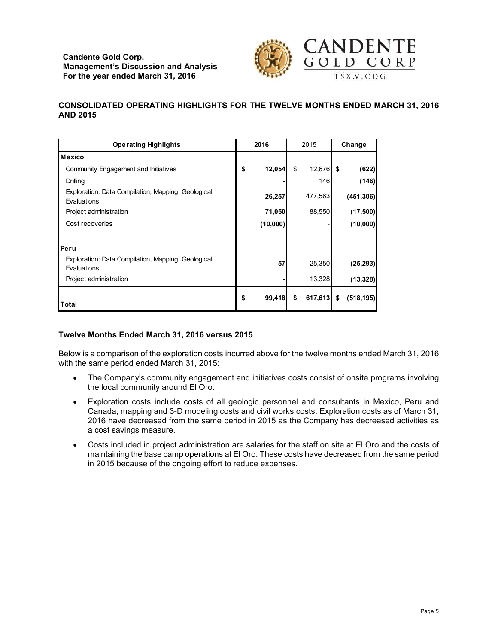

# **CONSOLIDATED OPERATING HIGHLIGHTS FOR THE TWELVE MONTHS ENDED MARCH 31, 2016 AND 2015**

| <b>Operating Highlights</b>                                       | 2016 |          | 2015          | Change |            |
|-------------------------------------------------------------------|------|----------|---------------|--------|------------|
| Mexico                                                            |      |          |               |        |            |
| Community Engagement and Initiatives                              | \$   | 12,054   | \$<br>12,676  | \$     | (622)      |
| Drilling                                                          |      |          | 146           |        | (146)      |
| Exploration: Data Compilation, Mapping, Geological<br>Evaluations |      | 26,257   | 477,563       |        | (451, 306) |
| Project administration                                            |      | 71,050   | 88,550        |        | (17, 500)  |
| Cost recoveries                                                   |      | (10,000) |               |        | (10,000)   |
|                                                                   |      |          |               |        |            |
| Peru                                                              |      |          |               |        |            |
| Exploration: Data Compilation, Mapping, Geological<br>Evaluations |      | 57       | 25,350        |        | (25, 293)  |
| Project administration                                            |      |          | 13,328        |        | (13, 328)  |
| Total                                                             | \$   | 99,418   | \$<br>617,613 | \$     | (518, 195) |

# **Twelve Months Ended March 31, 2016 versus 2015**

Below is a comparison of the exploration costs incurred above for the twelve months ended March 31, 2016 with the same period ended March 31, 2015:

- The Company's community engagement and initiatives costs consist of onsite programs involving the local community around El Oro.
- Exploration costs include costs of all geologic personnel and consultants in Mexico, Peru and Canada, mapping and 3-D modeling costs and civil works costs. Exploration costs as of March 31, 2016 have decreased from the same period in 2015 as the Company has decreased activities as a cost savings measure.
- Costs included in project administration are salaries for the staff on site at El Oro and the costs of maintaining the base camp operations at El Oro. These costs have decreased from the same period in 2015 because of the ongoing effort to reduce expenses.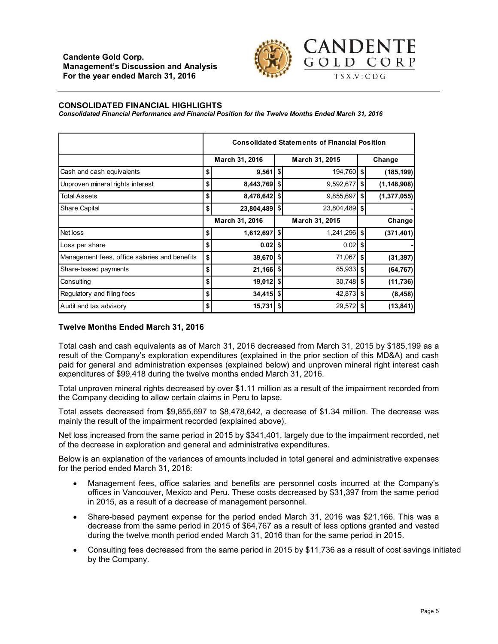

#### **CONSOLIDATED FINANCIAL HIGHLIGHTS**

*Consolidated Financial Performance and Financial Position for the Twelve Months Ended March 31, 2016*

|                                               | <b>Consolidated Statements of Financial Position</b> |                         |                |                |        |               |  |
|-----------------------------------------------|------------------------------------------------------|-------------------------|----------------|----------------|--------|---------------|--|
|                                               | March 31, 2016                                       |                         |                | March 31, 2015 | Change |               |  |
| Cash and cash equivalents                     | \$                                                   | $9,561$ \ $\frac{1}{3}$ |                | 194,760 \$     |        | (185, 199)    |  |
| Unproven mineral rights interest              | \$                                                   | 8,443,769               | \$             | 9,592,677      | \$     | (1, 148, 908) |  |
| <b>Total Assets</b>                           | \$                                                   | 8,478,642               | \$             | 9,855,697      | \$     | (1, 377, 055) |  |
| <b>Share Capital</b>                          | \$                                                   | 23,804,489              | -\$            | 23,804,489 \$  |        |               |  |
|                                               |                                                      | March 31, 2016          |                | March 31, 2015 | Change |               |  |
| Net loss                                      | \$                                                   | 1,612,697               | $\mathfrak{S}$ | 1,241,296 \$   |        | (371, 401)    |  |
| Loss per share                                | \$                                                   | $0.02$ \$               |                | 0.02           | \$     |               |  |
| Management fees, office salaries and benefits | \$                                                   | 39,670 \$               |                | 71,067         | S.     | (31, 397)     |  |
| Share-based payments                          | \$                                                   | $21,166$ \$             |                | $85,933$ \$    |        | (64, 767)     |  |
| Consulting                                    | \$                                                   | $19,012$ \$             |                | $30,748$ \$    |        | (11, 736)     |  |
| Regulatory and filing fees                    | \$                                                   | 34,415 \$               |                | $42,873$ \$    |        | (8, 458)      |  |
| Audit and tax advisory                        | \$                                                   | 15,731                  | $\mathbb{S}$   | 29,572         | S.     | (13, 841)     |  |

### **Twelve Months Ended March 31, 2016**

Total cash and cash equivalents as of March 31, 2016 decreased from March 31, 2015 by \$185,199 as a result of the Company's exploration expenditures (explained in the prior section of this MD&A) and cash paid for general and administration expenses (explained below) and unproven mineral right interest cash expenditures of \$99,418 during the twelve months ended March 31, 2016.

Total unproven mineral rights decreased by over \$1.11 million as a result of the impairment recorded from the Company deciding to allow certain claims in Peru to lapse.

Total assets decreased from \$9,855,697 to \$8,478,642, a decrease of \$1.34 million. The decrease was mainly the result of the impairment recorded (explained above).

Net loss increased from the same period in 2015 by \$341,401, largely due to the impairment recorded, net of the decrease in exploration and general and administrative expenditures.

Below is an explanation of the variances of amounts included in total general and administrative expenses for the period ended March 31, 2016:

- Management fees, office salaries and benefits are personnel costs incurred at the Company's offices in Vancouver, Mexico and Peru. These costs decreased by \$31,397 from the same period in 2015, as a result of a decrease of management personnel.
- Share-based payment expense for the period ended March 31, 2016 was \$21,166. This was a decrease from the same period in 2015 of \$64,767 as a result of less options granted and vested during the twelve month period ended March 31, 2016 than for the same period in 2015.
- Consulting fees decreased from the same period in 2015 by \$11,736 as a result of cost savings initiated by the Company.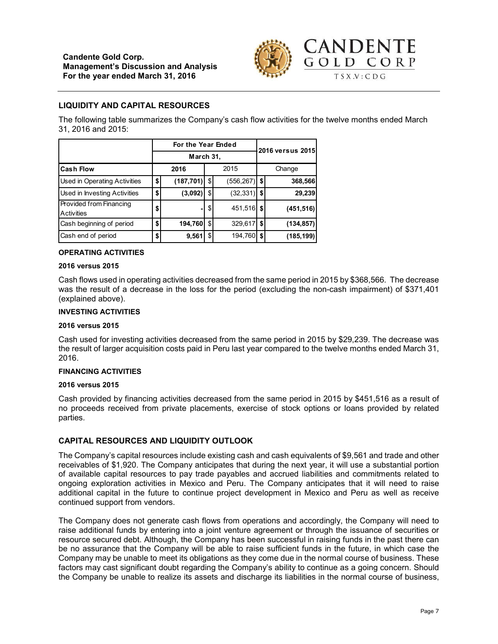

# **LIQUIDITY AND CAPITAL RESOURCES**

The following table summarizes the Company's cash flow activities for the twelve months ended March 31, 2016 and 2015:

|                                       |                  | For the Year Ended | 2016 versus 2015 |    |            |  |  |
|---------------------------------------|------------------|--------------------|------------------|----|------------|--|--|
|                                       | March 31,        |                    |                  |    |            |  |  |
| <b>Cash Flow</b>                      | 2015<br>2016     |                    |                  |    | Change     |  |  |
| Used in Operating Activities          | \$<br>(187, 701) | \$                 | $(556, 267)$ \$  |    | 368,566    |  |  |
| Used in Investing Activities          | \$<br>(3,092)    | \$                 | (32, 331)        | \$ | 29,239     |  |  |
| Provided from Financing<br>Activities | \$<br>۰          | \$                 | 451,516 \$       |    | (451, 516) |  |  |
| Cash beginning of period              | \$<br>194,760    | \$                 | 329,617          | \$ | (134, 857) |  |  |
| Cash end of period                    | \$<br>9,561      | \$                 | 194,760          | \$ | (185,199)  |  |  |

#### **OPERATING ACTIVITIES**

#### **2016 versus 2015**

Cash flows used in operating activities decreased from the same period in 2015 by \$368,566. The decrease was the result of a decrease in the loss for the period (excluding the non-cash impairment) of \$371,401 (explained above).

#### **INVESTING ACTIVITIES**

#### **2016 versus 2015**

Cash used for investing activities decreased from the same period in 2015 by \$29,239. The decrease was the result of larger acquisition costs paid in Peru last year compared to the twelve months ended March 31, 2016.

#### **FINANCING ACTIVITIES**

### **2016 versus 2015**

Cash provided by financing activities decreased from the same period in 2015 by \$451,516 as a result of no proceeds received from private placements, exercise of stock options or loans provided by related parties.

### **CAPITAL RESOURCES AND LIQUIDITY OUTLOOK**

The Company's capital resources include existing cash and cash equivalents of \$9,561 and trade and other receivables of \$1,920. The Company anticipates that during the next year, it will use a substantial portion of available capital resources to pay trade payables and accrued liabilities and commitments related to ongoing exploration activities in Mexico and Peru. The Company anticipates that it will need to raise additional capital in the future to continue project development in Mexico and Peru as well as receive continued support from vendors.

The Company does not generate cash flows from operations and accordingly, the Company will need to raise additional funds by entering into a joint venture agreement or through the issuance of securities or resource secured debt. Although, the Company has been successful in raising funds in the past there can be no assurance that the Company will be able to raise sufficient funds in the future, in which case the Company may be unable to meet its obligations as they come due in the normal course of business. These factors may cast significant doubt regarding the Company's ability to continue as a going concern. Should the Company be unable to realize its assets and discharge its liabilities in the normal course of business,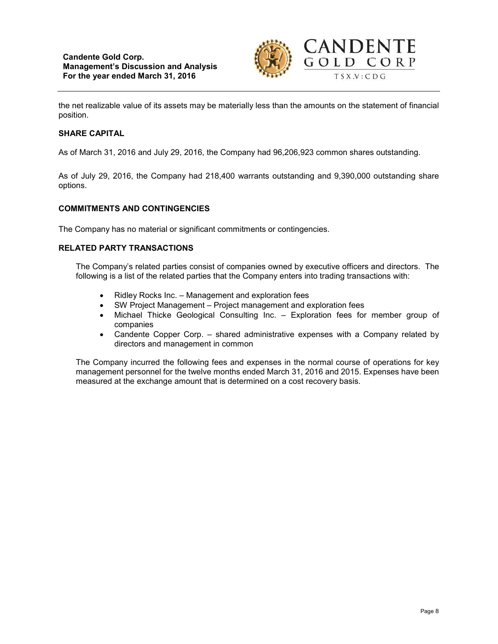

the net realizable value of its assets may be materially less than the amounts on the statement of financial position.

# **SHARE CAPITAL**

As of March 31, 2016 and July 29, 2016, the Company had 96,206,923 common shares outstanding.

As of July 29, 2016, the Company had 218,400 warrants outstanding and 9,390,000 outstanding share options.

### **COMMITMENTS AND CONTINGENCIES**

The Company has no material or significant commitments or contingencies.

## **RELATED PARTY TRANSACTIONS**

The Company's related parties consist of companies owned by executive officers and directors. The following is a list of the related parties that the Company enters into trading transactions with:

- Ridley Rocks Inc. Management and exploration fees
- SW Project Management Project management and exploration fees
- Michael Thicke Geological Consulting Inc. Exploration fees for member group of companies
- Candente Copper Corp. shared administrative expenses with a Company related by directors and management in common

The Company incurred the following fees and expenses in the normal course of operations for key management personnel for the twelve months ended March 31, 2016 and 2015. Expenses have been measured at the exchange amount that is determined on a cost recovery basis.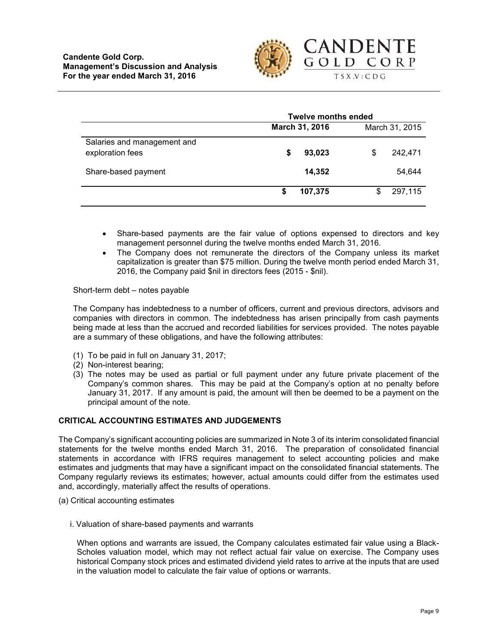

|                                                 | <b>Twelve months ended</b> |                |  |  |  |  |
|-------------------------------------------------|----------------------------|----------------|--|--|--|--|
|                                                 | March 31, 2016             | March 31, 2015 |  |  |  |  |
| Salaries and management and<br>exploration fees | 93,023<br>S                | 242,471<br>S   |  |  |  |  |
| Share-based payment                             | 14,352                     | 54,644         |  |  |  |  |
|                                                 | 107,375<br>S               | 297,115<br>S   |  |  |  |  |

- Share-based payments are the fair value of options expensed to directors and key management personnel during the twelve months ended March 31, 2016.
- The Company does not remunerate the directors of the Company unless its market capitalization is greater than \$75 million. During the twelve month period ended March 31, 2016, the Company paid \$nil in directors fees (2015 - \$nil).

Short-term debt – notes payable

The Company has indebtedness to a number of officers, current and previous directors, advisors and companies with directors in common. The indebtedness has arisen principally from cash payments being made at less than the accrued and recorded liabilities for services provided. The notes payable are a summary of these obligations, and have the following attributes:

- (1) To be paid in full on January 31, 2017;
- (2) Non-interest bearing;
- (3) The notes may be used as partial or full payment under any future private placement of the Company's common shares. This may be paid at the Company's option at no penalty before January 31, 2017. If any amount is paid, the amount will then be deemed to be a payment on the principal amount of the note.

## **CRITICAL ACCOUNTING ESTIMATES AND JUDGEMENTS**

The Company's significant accounting policies are summarized in Note 3 of its interim consolidated financial statements for the twelve months ended March 31, 2016. The preparation of consolidated financial statements in accordance with IFRS requires management to select accounting policies and make estimates and judgments that may have a significant impact on the consolidated financial statements. The Company regularly reviews its estimates; however, actual amounts could differ from the estimates used and, accordingly, materially affect the results of operations.

- (a) Critical accounting estimates
	- i. Valuation of share-based payments and warrants

When options and warrants are issued, the Company calculates estimated fair value using a Black-Scholes valuation model, which may not reflect actual fair value on exercise. The Company uses historical Company stock prices and estimated dividend yield rates to arrive at the inputs that are used in the valuation model to calculate the fair value of options or warrants.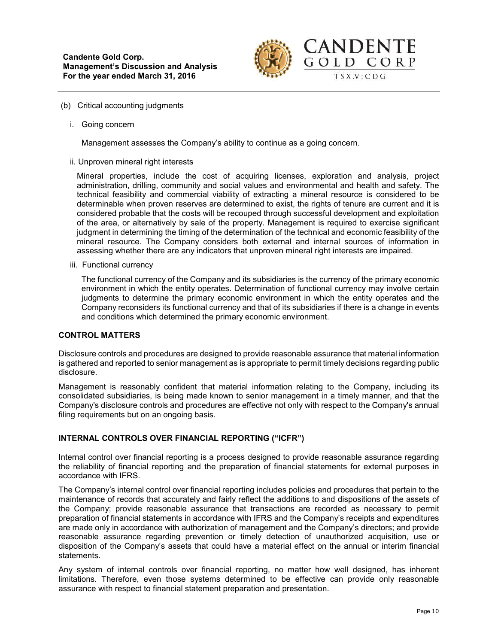

- (b) Critical accounting judgments
	- i. Going concern

Management assesses the Company's ability to continue as a going concern.

ii. Unproven mineral right interests

Mineral properties, include the cost of acquiring licenses, exploration and analysis, project administration, drilling, community and social values and environmental and health and safety. The technical feasibility and commercial viability of extracting a mineral resource is considered to be determinable when proven reserves are determined to exist, the rights of tenure are current and it is considered probable that the costs will be recouped through successful development and exploitation of the area, or alternatively by sale of the property. Management is required to exercise significant judgment in determining the timing of the determination of the technical and economic feasibility of the mineral resource. The Company considers both external and internal sources of information in assessing whether there are any indicators that unproven mineral right interests are impaired.

iii. Functional currency

The functional currency of the Company and its subsidiaries is the currency of the primary economic environment in which the entity operates. Determination of functional currency may involve certain judgments to determine the primary economic environment in which the entity operates and the Company reconsiders its functional currency and that of its subsidiaries if there is a change in events and conditions which determined the primary economic environment.

# **CONTROL MATTERS**

Disclosure controls and procedures are designed to provide reasonable assurance that material information is gathered and reported to senior management as is appropriate to permit timely decisions regarding public disclosure.

Management is reasonably confident that material information relating to the Company, including its consolidated subsidiaries, is being made known to senior management in a timely manner, and that the Company's disclosure controls and procedures are effective not only with respect to the Company's annual filing requirements but on an ongoing basis.

### **INTERNAL CONTROLS OVER FINANCIAL REPORTING ("ICFR")**

Internal control over financial reporting is a process designed to provide reasonable assurance regarding the reliability of financial reporting and the preparation of financial statements for external purposes in accordance with IFRS.

The Company's internal control over financial reporting includes policies and procedures that pertain to the maintenance of records that accurately and fairly reflect the additions to and dispositions of the assets of the Company; provide reasonable assurance that transactions are recorded as necessary to permit preparation of financial statements in accordance with IFRS and the Company's receipts and expenditures are made only in accordance with authorization of management and the Company's directors; and provide reasonable assurance regarding prevention or timely detection of unauthorized acquisition, use or disposition of the Company's assets that could have a material effect on the annual or interim financial statements.

Any system of internal controls over financial reporting, no matter how well designed, has inherent limitations. Therefore, even those systems determined to be effective can provide only reasonable assurance with respect to financial statement preparation and presentation.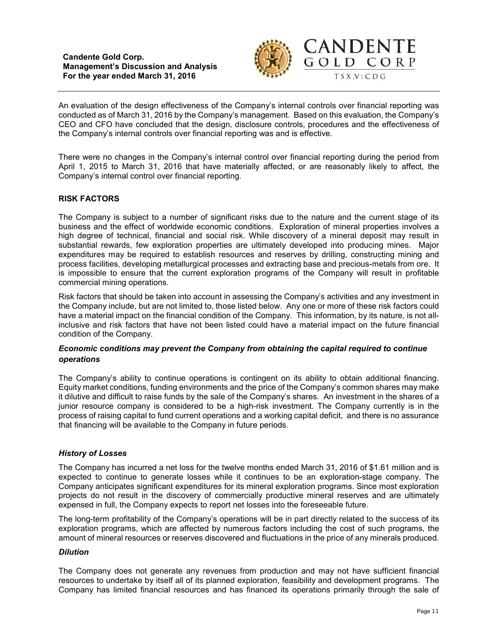**Candente Gold Corp. Management's Discussion and Analysis For the year ended March 31, 2016**



An evaluation of the design effectiveness of the Company's internal controls over financial reporting was conducted as of March 31, 2016 by the Company's management. Based on this evaluation, the Company's CEO and CFO have concluded that the design, disclosure controls, procedures and the effectiveness of the Company's internal controls over financial reporting was and is effective.

There were no changes in the Company's internal control over financial reporting during the period from April 1, 2015 to March 31, 2016 that have materially affected, or are reasonably likely to affect, the Company's internal control over financial reporting.

# **RISK FACTORS**

The Company is subject to a number of significant risks due to the nature and the current stage of its business and the effect of worldwide economic conditions. Exploration of mineral properties involves a high degree of technical, financial and social risk. While discovery of a mineral deposit may result in substantial rewards, few exploration properties are ultimately developed into producing mines. Major expenditures may be required to establish resources and reserves by drilling, constructing mining and process facilities, developing metallurgical processes and extracting base and precious-metals from ore. It is impossible to ensure that the current exploration programs of the Company will result in profitable commercial mining operations.

Risk factors that should be taken into account in assessing the Company's activities and any investment in the Company include, but are not limited to, those listed below. Any one or more of these risk factors could have a material impact on the financial condition of the Company. This information, by its nature, is not allinclusive and risk factors that have not been listed could have a material impact on the future financial condition of the Company.

## *Economic conditions may prevent the Company from obtaining the capital required to continue operations*

The Company's ability to continue operations is contingent on its ability to obtain additional financing. Equity market conditions, funding environments and the price of the Company's common shares may make it dilutive and difficult to raise funds by the sale of the Company's shares. An investment in the shares of a junior resource company is considered to be a high-risk investment. The Company currently is in the process of raising capital to fund current operations and a working capital deficit, and there is no assurance that financing will be available to the Company in future periods.

### *History of Losses*

The Company has incurred a net loss for the twelve months ended March 31, 2016 of \$1.61 million and is expected to continue to generate losses while it continues to be an exploration-stage company. The Company anticipates significant expenditures for its mineral exploration programs. Since most exploration projects do not result in the discovery of commercially productive mineral reserves and are ultimately expensed in full, the Company expects to report net losses into the foreseeable future.

The long-term profitability of the Company's operations will be in part directly related to the success of its exploration programs, which are affected by numerous factors including the cost of such programs, the amount of mineral resources or reserves discovered and fluctuations in the price of any minerals produced.

## *Dilution*

The Company does not generate any revenues from production and may not have sufficient financial resources to undertake by itself all of its planned exploration, feasibility and development programs. The Company has limited financial resources and has financed its operations primarily through the sale of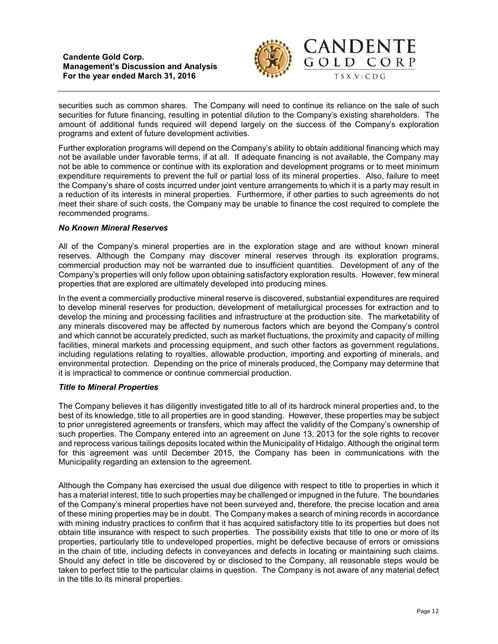**Candente Gold Corp. Management's Discussion and Analysis For the year ended March 31, 2016**



securities such as common shares. The Company will need to continue its reliance on the sale of such securities for future financing, resulting in potential dilution to the Company's existing shareholders. The amount of additional funds required will depend largely on the success of the Company's exploration programs and extent of future development activities.

Further exploration programs will depend on the Company's ability to obtain additional financing which may not be available under favorable terms, if at all. If adequate financing is not available, the Company may not be able to commence or continue with its exploration and development programs or to meet minimum expenditure requirements to prevent the full or partial loss of its mineral properties. Also, failure to meet the Company's share of costs incurred under joint venture arrangements to which it is a party may result in a reduction of its interests in mineral properties. Furthermore, if other parties to such agreements do not meet their share of such costs, the Company may be unable to finance the cost required to complete the recommended programs.

### *No Known Mineral Reserves*

All of the Company's mineral properties are in the exploration stage and are without known mineral reserves. Although the Company may discover mineral reserves through its exploration programs, commercial production may not be warranted due to insufficient quantities. Development of any of the Company's properties will only follow upon obtaining satisfactory exploration results. However, few mineral properties that are explored are ultimately developed into producing mines.

In the event a commercially productive mineral reserve is discovered, substantial expenditures are required to develop mineral reserves for production, development of metallurgical processes for extraction and to develop the mining and processing facilities and infrastructure at the production site. The marketability of any minerals discovered may be affected by numerous factors which are beyond the Company's control and which cannot be accurately predicted, such as market fluctuations, the proximity and capacity of milling facilities, mineral markets and processing equipment, and such other factors as government regulations, including regulations relating to royalties, allowable production, importing and exporting of minerals, and environmental protection. Depending on the price of minerals produced, the Company may determine that it is impractical to commence or continue commercial production.

### *Title to Mineral Properties*

The Company believes it has diligently investigated title to all of its hardrock mineral properties and, to the best of its knowledge, title to all properties are in good standing. However, these properties may be subject to prior unregistered agreements or transfers, which may affect the validity of the Company's ownership of such properties. The Company entered into an agreement on June 13, 2013 for the sole rights to recover and reprocess various tailings deposits located within the Municipality of Hidalgo. Although the original term for this agreement was until December 2015, the Company has been in communications with the Municipality regarding an extension to the agreement.

Although the Company has exercised the usual due diligence with respect to title to properties in which it has a material interest, title to such properties may be challenged or impugned in the future. The boundaries of the Company's mineral properties have not been surveyed and, therefore, the precise location and area of these mining properties may be in doubt. The Company makes a search of mining records in accordance with mining industry practices to confirm that it has acquired satisfactory title to its properties but does not obtain title insurance with respect to such properties. The possibility exists that title to one or more of its properties, particularly title to undeveloped properties, might be defective because of errors or omissions in the chain of title, including defects in conveyances and defects in locating or maintaining such claims. Should any defect in title be discovered by or disclosed to the Company, all reasonable steps would be taken to perfect title to the particular claims in question. The Company is not aware of any material defect in the title to its mineral properties.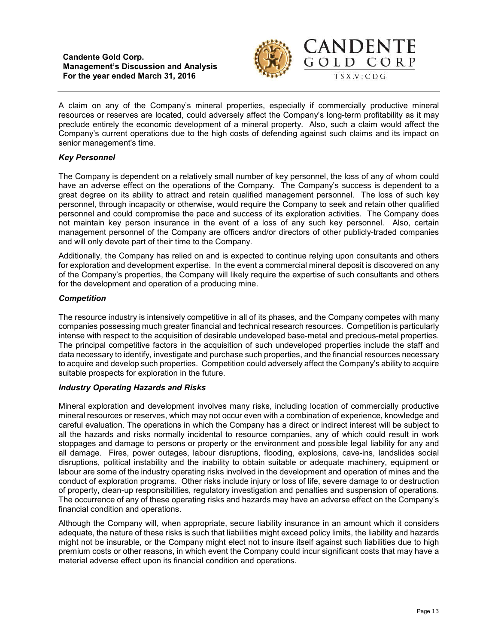



CANDENTE

GOLD CORP

A claim on any of the Company's mineral properties, especially if commercially productive mineral resources or reserves are located, could adversely affect the Company's long-term profitability as it may preclude entirely the economic development of a mineral property. Also, such a claim would affect the Company's current operations due to the high costs of defending against such claims and its impact on senior management's time.

# *Key Personnel*

The Company is dependent on a relatively small number of key personnel, the loss of any of whom could have an adverse effect on the operations of the Company. The Company's success is dependent to a great degree on its ability to attract and retain qualified management personnel. The loss of such key personnel, through incapacity or otherwise, would require the Company to seek and retain other qualified personnel and could compromise the pace and success of its exploration activities. The Company does not maintain key person insurance in the event of a loss of any such key personnel. Also, certain management personnel of the Company are officers and/or directors of other publicly-traded companies and will only devote part of their time to the Company.

Additionally, the Company has relied on and is expected to continue relying upon consultants and others for exploration and development expertise. In the event a commercial mineral deposit is discovered on any of the Company's properties, the Company will likely require the expertise of such consultants and others for the development and operation of a producing mine.

### *Competition*

The resource industry is intensively competitive in all of its phases, and the Company competes with many companies possessing much greater financial and technical research resources. Competition is particularly intense with respect to the acquisition of desirable undeveloped base-metal and precious-metal properties. The principal competitive factors in the acquisition of such undeveloped properties include the staff and data necessary to identify, investigate and purchase such properties, and the financial resources necessary to acquire and develop such properties. Competition could adversely affect the Company's ability to acquire suitable prospects for exploration in the future.

# *Industry Operating Hazards and Risks*

Mineral exploration and development involves many risks, including location of commercially productive mineral resources or reserves, which may not occur even with a combination of experience, knowledge and careful evaluation. The operations in which the Company has a direct or indirect interest will be subject to all the hazards and risks normally incidental to resource companies, any of which could result in work stoppages and damage to persons or property or the environment and possible legal liability for any and all damage. Fires, power outages, labour disruptions, flooding, explosions, cave-ins, landslides social disruptions, political instability and the inability to obtain suitable or adequate machinery, equipment or labour are some of the industry operating risks involved in the development and operation of mines and the conduct of exploration programs. Other risks include injury or loss of life, severe damage to or destruction of property, clean-up responsibilities, regulatory investigation and penalties and suspension of operations. The occurrence of any of these operating risks and hazards may have an adverse effect on the Company's financial condition and operations.

Although the Company will, when appropriate, secure liability insurance in an amount which it considers adequate, the nature of these risks is such that liabilities might exceed policy limits, the liability and hazards might not be insurable, or the Company might elect not to insure itself against such liabilities due to high premium costs or other reasons, in which event the Company could incur significant costs that may have a material adverse effect upon its financial condition and operations.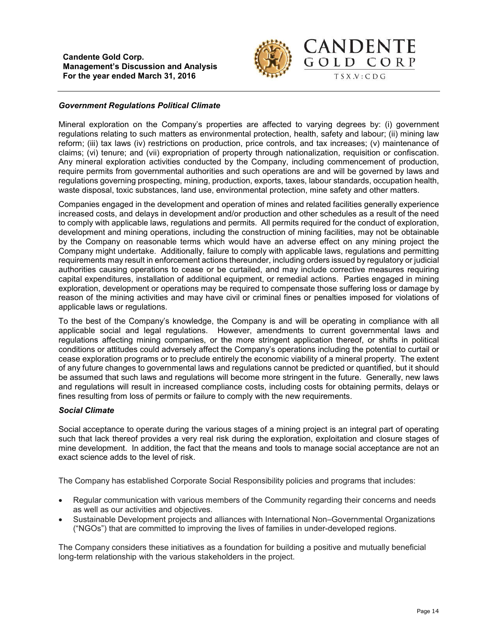

## *Government Regulations Political Climate*

Mineral exploration on the Company's properties are affected to varying degrees by: (i) government regulations relating to such matters as environmental protection, health, safety and labour; (ii) mining law reform; (iii) tax laws (iv) restrictions on production, price controls, and tax increases; (v) maintenance of claims; (vi) tenure; and (vii) expropriation of property through nationalization, requisition or confiscation. Any mineral exploration activities conducted by the Company, including commencement of production, require permits from governmental authorities and such operations are and will be governed by laws and regulations governing prospecting, mining, production, exports, taxes, labour standards, occupation health, waste disposal, toxic substances, land use, environmental protection, mine safety and other matters.

Companies engaged in the development and operation of mines and related facilities generally experience increased costs, and delays in development and/or production and other schedules as a result of the need to comply with applicable laws, regulations and permits. All permits required for the conduct of exploration, development and mining operations, including the construction of mining facilities, may not be obtainable by the Company on reasonable terms which would have an adverse effect on any mining project the Company might undertake. Additionally, failure to comply with applicable laws, regulations and permitting requirements may result in enforcement actions thereunder, including orders issued by regulatory or judicial authorities causing operations to cease or be curtailed, and may include corrective measures requiring capital expenditures, installation of additional equipment, or remedial actions. Parties engaged in mining exploration, development or operations may be required to compensate those suffering loss or damage by reason of the mining activities and may have civil or criminal fines or penalties imposed for violations of applicable laws or regulations.

To the best of the Company's knowledge, the Company is and will be operating in compliance with all applicable social and legal regulations. However, amendments to current governmental laws and regulations affecting mining companies, or the more stringent application thereof, or shifts in political conditions or attitudes could adversely affect the Company's operations including the potential to curtail or cease exploration programs or to preclude entirely the economic viability of a mineral property. The extent of any future changes to governmental laws and regulations cannot be predicted or quantified, but it should be assumed that such laws and regulations will become more stringent in the future. Generally, new laws and regulations will result in increased compliance costs, including costs for obtaining permits, delays or fines resulting from loss of permits or failure to comply with the new requirements.

### *Social Climate*

Social acceptance to operate during the various stages of a mining project is an integral part of operating such that lack thereof provides a very real risk during the exploration, exploitation and closure stages of mine development. In addition, the fact that the means and tools to manage social acceptance are not an exact science adds to the level of risk.

The Company has established Corporate Social Responsibility policies and programs that includes:

- Regular communication with various members of the Community regarding their concerns and needs as well as our activities and objectives.
- Sustainable Development projects and alliances with International Non–Governmental Organizations ("NGOs") that are committed to improving the lives of families in under-developed regions.

The Company considers these initiatives as a foundation for building a positive and mutually beneficial long-term relationship with the various stakeholders in the project.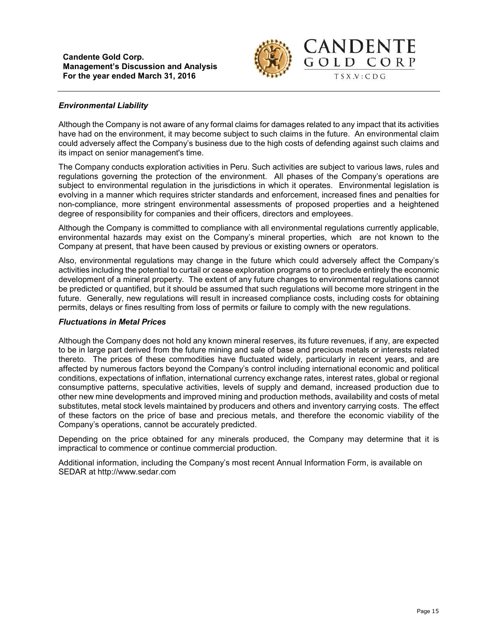

## *Environmental Liability*

Although the Company is not aware of any formal claims for damages related to any impact that its activities have had on the environment, it may become subject to such claims in the future. An environmental claim could adversely affect the Company's business due to the high costs of defending against such claims and its impact on senior management's time.

The Company conducts exploration activities in Peru. Such activities are subject to various laws, rules and regulations governing the protection of the environment. All phases of the Company's operations are subject to environmental regulation in the jurisdictions in which it operates. Environmental legislation is evolving in a manner which requires stricter standards and enforcement, increased fines and penalties for non-compliance, more stringent environmental assessments of proposed properties and a heightened degree of responsibility for companies and their officers, directors and employees.

Although the Company is committed to compliance with all environmental regulations currently applicable, environmental hazards may exist on the Company's mineral properties, which are not known to the Company at present, that have been caused by previous or existing owners or operators.

Also, environmental regulations may change in the future which could adversely affect the Company's activities including the potential to curtail or cease exploration programs or to preclude entirely the economic development of a mineral property. The extent of any future changes to environmental regulations cannot be predicted or quantified, but it should be assumed that such regulations will become more stringent in the future. Generally, new regulations will result in increased compliance costs, including costs for obtaining permits, delays or fines resulting from loss of permits or failure to comply with the new regulations.

### *Fluctuations in Metal Prices*

Although the Company does not hold any known mineral reserves, its future revenues, if any, are expected to be in large part derived from the future mining and sale of base and precious metals or interests related thereto. The prices of these commodities have fluctuated widely, particularly in recent years, and are affected by numerous factors beyond the Company's control including international economic and political conditions, expectations of inflation, international currency exchange rates, interest rates, global or regional consumptive patterns, speculative activities, levels of supply and demand, increased production due to other new mine developments and improved mining and production methods, availability and costs of metal substitutes, metal stock levels maintained by producers and others and inventory carrying costs. The effect of these factors on the price of base and precious metals, and therefore the economic viability of the Company's operations, cannot be accurately predicted.

Depending on the price obtained for any minerals produced, the Company may determine that it is impractical to commence or continue commercial production.

Additional information, including the Company's most recent Annual Information Form, is available on SEDAR at http://www.sedar.com